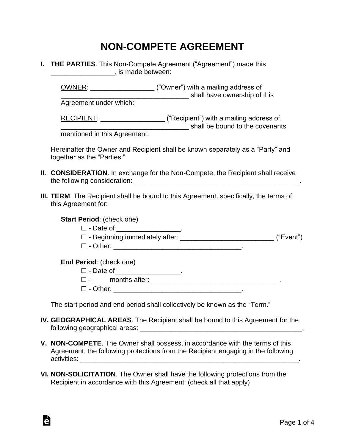## **NON-COMPETE AGREEMENT**

**I. THE PARTIES**. This Non-Compete Agreement ("Agreement") made this determined between:

OWNER: \_\_\_\_\_\_\_\_\_\_\_\_\_\_\_\_\_ ("Owner") with a mailing address of \_\_\_\_\_\_\_\_\_\_\_\_\_\_\_\_\_\_\_\_\_\_\_\_\_\_\_\_\_\_\_\_\_\_ shall have ownership of this

Agreement under which:

RECIPIENT: \_\_\_\_\_\_\_\_\_\_\_\_\_\_\_\_\_\_\_\_\_\_ ("Recipient") with a mailing address of \_\_\_\_\_\_\_\_\_\_\_\_\_\_\_\_\_\_\_\_\_\_\_\_\_\_\_\_\_\_\_\_\_\_ shall be bound to the covenants

mentioned in this Agreement.

Hereinafter the Owner and Recipient shall be known separately as a "Party" and together as the "Parties."

- **II. CONSIDERATION**. In exchange for the Non-Compete, the Recipient shall receive the following consideration: which is a set of the set of the set of the set of the set of the set of the set o
- **III. TERM**. The Recipient shall be bound to this Agreement, specifically, the terms of this Agreement for:

**Start Period**: (check one)

- $\Box$  Date of  $\Box$
- $\Box$  Beginning immediately after:  $\Box$  Beginning immediately after:
- ☐ Other. \_\_\_\_\_\_\_\_\_\_\_\_\_\_\_\_\_\_\_\_\_\_\_\_\_\_\_\_\_\_\_\_\_\_.

**End Period**: (check one)

à

- □ Date of \_\_\_\_\_\_\_\_\_\_\_\_\_\_\_\_\_\_\_.
- ☐ \_\_\_\_ months after: \_\_\_\_\_\_\_\_\_\_\_\_\_\_\_\_\_\_\_\_\_\_\_\_\_\_\_\_\_\_\_\_\_\_.
- $\Box$  Other.

The start period and end period shall collectively be known as the "Term."

- **IV. GEOGRAPHICAL AREAS**. The Recipient shall be bound to this Agreement for the following geographical areas: \_\_\_\_\_\_\_\_\_\_\_\_\_\_\_\_\_\_\_\_\_\_\_\_\_\_\_\_\_\_\_\_\_\_\_\_\_\_\_\_\_\_\_.
- **V. NON-COMPETE**. The Owner shall possess, in accordance with the terms of this Agreement, the following protections from the Recipient engaging in the following activities: \_\_\_\_\_\_\_\_\_\_\_\_\_\_\_\_\_\_\_\_\_\_\_\_\_\_\_\_\_\_\_\_\_\_\_\_\_\_\_\_\_\_\_\_\_\_\_\_\_\_\_\_\_\_\_\_\_\_.
- **VI. NON-SOLICITATION**. The Owner shall have the following protections from the Recipient in accordance with this Agreement: (check all that apply)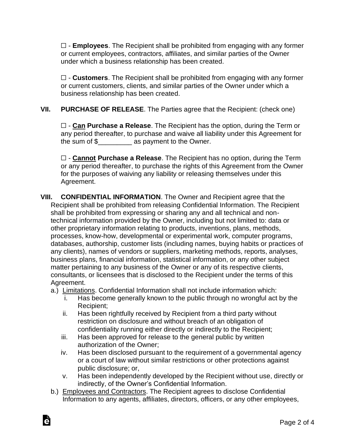☐ - **Employees**. The Recipient shall be prohibited from engaging with any former or current employees, contractors, affiliates, and similar parties of the Owner under which a business relationship has been created.

☐ - **Customers**. The Recipient shall be prohibited from engaging with any former or current customers, clients, and similar parties of the Owner under which a business relationship has been created.

**VII. PURCHASE OF RELEASE**. The Parties agree that the Recipient: (check one)

☐ - **Can Purchase a Release**. The Recipient has the option, during the Term or any period thereafter, to purchase and waive all liability under this Agreement for the sum of \$ The Sum of \$ as payment to the Owner.

☐ - **Cannot Purchase a Release**. The Recipient has no option, during the Term or any period thereafter, to purchase the rights of this Agreement from the Owner for the purposes of waiving any liability or releasing themselves under this Agreement.

- **VIII. CONFIDENTIAL INFORMATION**. The Owner and Recipient agree that the Recipient shall be prohibited from releasing Confidential Information. The Recipient shall be prohibited from expressing or sharing any and all technical and nontechnical information provided by the Owner, including but not limited to: data or other proprietary information relating to products, inventions, plans, methods, processes, know-how, developmental or experimental work, computer programs, databases, authorship, customer lists (including names, buying habits or practices of any clients), names of vendors or suppliers, marketing methods, reports, analyses, business plans, financial information, statistical information, or any other subject matter pertaining to any business of the Owner or any of its respective clients, consultants, or licensees that is disclosed to the Recipient under the terms of this Agreement.
	- a.) Limitations. Confidential Information shall not include information which:
		- i. Has become generally known to the public through no wrongful act by the Recipient;
		- ii. Has been rightfully received by Recipient from a third party without restriction on disclosure and without breach of an obligation of confidentiality running either directly or indirectly to the Recipient;
		- iii. Has been approved for release to the general public by written authorization of the Owner;

Ġ

- iv. Has been disclosed pursuant to the requirement of a governmental agency or a court of law without similar restrictions or other protections against public disclosure; or,
- v. Has been independently developed by the Recipient without use, directly or indirectly, of the Owner's Confidential Information.
- b.) Employees and Contractors. The Recipient agrees to disclose Confidential Information to any agents, affiliates, directors, officers, or any other employees,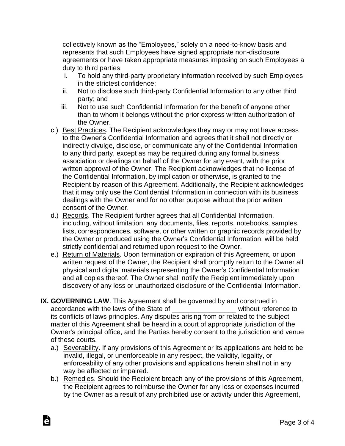collectively known as the "Employees," solely on a need-to-know basis and represents that such Employees have signed appropriate non-disclosure agreements or have taken appropriate measures imposing on such Employees a duty to third parties:

- i. To hold any third-party proprietary information received by such Employees in the strictest confidence;
- ii. Not to disclose such third-party Confidential Information to any other third party; and
- iii. Not to use such Confidential Information for the benefit of anyone other than to whom it belongs without the prior express written authorization of the Owner.
- c.) Best Practices. The Recipient acknowledges they may or may not have access to the Owner's Confidential Information and agrees that it shall not directly or indirectly divulge, disclose, or communicate any of the Confidential Information to any third party, except as may be required during any formal business association or dealings on behalf of the Owner for any event, with the prior written approval of the Owner. The Recipient acknowledges that no license of the Confidential Information, by implication or otherwise, is granted to the Recipient by reason of this Agreement. Additionally, the Recipient acknowledges that it may only use the Confidential Information in connection with its business dealings with the Owner and for no other purpose without the prior written consent of the Owner.
- d.) Records. The Recipient further agrees that all Confidential Information, including, without limitation, any documents, files, reports, notebooks, samples, lists, correspondences, software, or other written or graphic records provided by the Owner or produced using the Owner's Confidential Information, will be held strictly confidential and returned upon request to the Owner.
- e.) Return of Materials. Upon termination or expiration of this Agreement, or upon written request of the Owner, the Recipient shall promptly return to the Owner all physical and digital materials representing the Owner's Confidential Information and all copies thereof. The Owner shall notify the Recipient immediately upon discovery of any loss or unauthorized disclosure of the Confidential Information.
- **IX. GOVERNING LAW**. This Agreement shall be governed by and construed in accordance with the laws of the State of **Example 20** without reference to its conflicts of laws principles. Any disputes arising from or related to the subject matter of this Agreement shall be heard in a court of appropriate jurisdiction of the Owner's principal office, and the Parties hereby consent to the jurisdiction and venue of these courts.
	- a.) Severability. If any provisions of this Agreement or its applications are held to be invalid, illegal, or unenforceable in any respect, the validity, legality, or enforceability of any other provisions and applications herein shall not in any way be affected or impaired.
	- b.) Remedies. Should the Recipient breach any of the provisions of this Agreement, the Recipient agrees to reimburse the Owner for any loss or expenses incurred by the Owner as a result of any prohibited use or activity under this Agreement,

Ġ